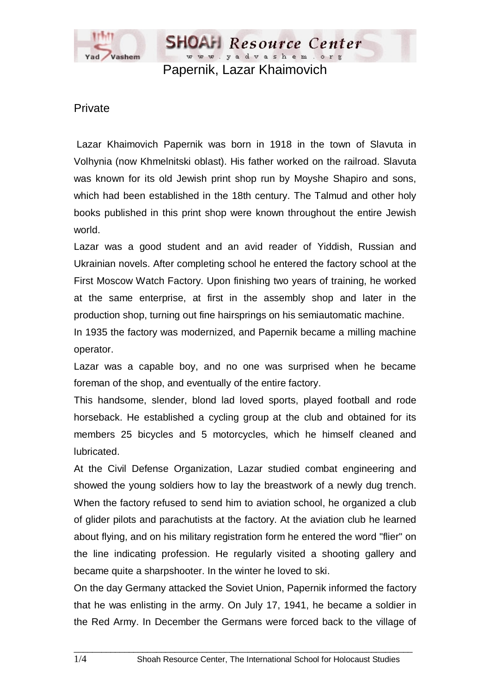

www.yadvashem.org Papernik, Lazar Khaimovich

Resource Center

## Private

 Lazar Khaimovich Papernik was born in 1918 in the town of Slavuta in Volhynia (now Khmelnitski oblast). His father worked on the railroad. Slavuta was known for its old Jewish print shop run by Moyshe Shapiro and sons, which had been established in the 18th century. The Talmud and other holy books published in this print shop were known throughout the entire Jewish world.

Lazar was a good student and an avid reader of Yiddish, Russian and Ukrainian novels. After completing school he entered the factory school at the First Moscow Watch Factory. Upon finishing two years of training, he worked at the same enterprise, at first in the assembly shop and later in the production shop, turning out fine hairsprings on his semiautomatic machine.

In 1935 the factory was modernized, and Papernik became a milling machine operator.

Lazar was a capable boy, and no one was surprised when he became foreman of the shop, and eventually of the entire factory.

This handsome, slender, blond lad loved sports, played football and rode horseback. He established a cycling group at the club and obtained for its members 25 bicycles and 5 motorcycles, which he himself cleaned and lubricated.

At the Civil Defense Organization, Lazar studied combat engineering and showed the young soldiers how to lay the breastwork of a newly dug trench. When the factory refused to send him to aviation school, he organized a club of glider pilots and parachutists at the factory. At the aviation club he learned about flying, and on his military registration form he entered the word "flier" on the line indicating profession. He regularly visited a shooting gallery and became quite a sharpshooter. In the winter he loved to ski.

On the day Germany attacked the Soviet Union, Papernik informed the factory that he was enlisting in the army. On July 17, 1941, he became a soldier in the Red Army. In December the Germans were forced back to the village of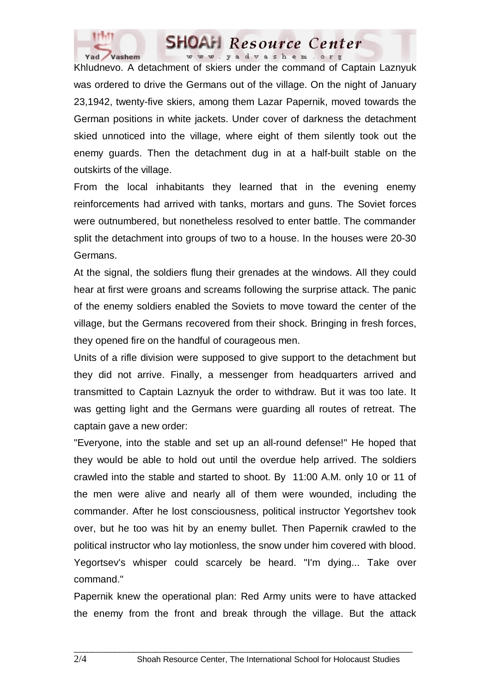

## **SHOAH** Resource Center www.yadvashem.org

Khludnevo. A detachment of skiers under the command of Captain Laznyuk was ordered to drive the Germans out of the village. On the night of January 23,1942, twenty-five skiers, among them Lazar Papernik, moved towards the German positions in white jackets. Under cover of darkness the detachment skied unnoticed into the village, where eight of them silently took out the enemy guards. Then the detachment dug in at a half-built stable on the outskirts of the village.

From the local inhabitants they learned that in the evening enemy reinforcements had arrived with tanks, mortars and guns. The Soviet forces were outnumbered, but nonetheless resolved to enter battle. The commander split the detachment into groups of two to a house. In the houses were 20-30 Germans.

At the signal, the soldiers flung their grenades at the windows. All they could hear at first were groans and screams following the surprise attack. The panic of the enemy soldiers enabled the Soviets to move toward the center of the village, but the Germans recovered from their shock. Bringing in fresh forces, they opened fire on the handful of courageous men.

Units of a rifle division were supposed to give support to the detachment but they did not arrive. Finally, a messenger from headquarters arrived and transmitted to Captain Laznyuk the order to withdraw. But it was too late. It was getting light and the Germans were guarding all routes of retreat. The captain gave a new order:

"Everyone, into the stable and set up an all-round defense!" He hoped that they would be able to hold out until the overdue help arrived. The soldiers crawled into the stable and started to shoot. By 11:00 A.M. only 10 or 11 of the men were alive and nearly all of them were wounded, including the commander. After he lost consciousness, political instructor Yegortshev took over, but he too was hit by an enemy bullet. Then Papernik crawled to the political instructor who lay motionless, the snow under him covered with blood. Yegortsev's whisper could scarcely be heard. "I'm dying... Take over command."

Papernik knew the operational plan: Red Army units were to have attacked the enemy from the front and break through the village. But the attack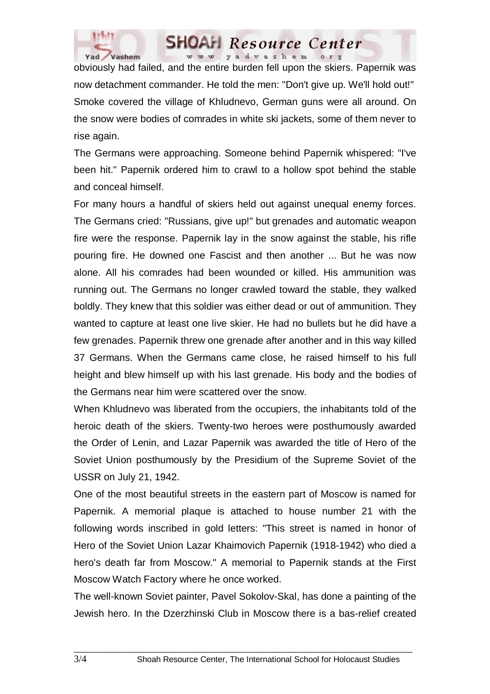

## **SHOAH** Resource Center www.yadvashem.org

obviously had failed, and the entire burden fell upon the skiers. Papernik was now detachment commander. He told the men: "Don't give up. We'll hold out!" Smoke covered the village of Khludnevo, German guns were all around. On the snow were bodies of comrades in white ski jackets, some of them never to rise again.

The Germans were approaching. Someone behind Papernik whispered: "I've been hit." Papernik ordered him to crawl to a hollow spot behind the stable and conceal himself.

For many hours a handful of skiers held out against unequal enemy forces. The Germans cried: "Russians, give up!" but grenades and automatic weapon fire were the response. Papernik lay in the snow against the stable, his rifle pouring fire. He downed one Fascist and then another ... But he was now alone. All his comrades had been wounded or killed. His ammunition was running out. The Germans no longer crawled toward the stable, they walked boldly. They knew that this soldier was either dead or out of ammunition. They wanted to capture at least one live skier. He had no bullets but he did have a few grenades. Papernik threw one grenade after another and in this way killed 37 Germans. When the Germans came close, he raised himself to his full height and blew himself up with his last grenade. His body and the bodies of the Germans near him were scattered over the snow.

When Khludnevo was liberated from the occupiers, the inhabitants told of the heroic death of the skiers. Twenty-two heroes were posthumously awarded the Order of Lenin, and Lazar Papernik was awarded the title of Hero of the Soviet Union posthumously by the Presidium of the Supreme Soviet of the USSR on July 21, 1942.

One of the most beautiful streets in the eastern part of Moscow is named for Papernik. A memorial plaque is attached to house number 21 with the following words inscribed in gold letters: "This street is named in honor of Hero of the Soviet Union Lazar Khaimovich Papernik (1918-1942) who died a hero's death far from Moscow." A memorial to Papernik stands at the First Moscow Watch Factory where he once worked.

The well-known Soviet painter, Pavel Sokolov-Skal, has done a painting of the Jewish hero. In the Dzerzhinski Club in Moscow there is a bas-relief created